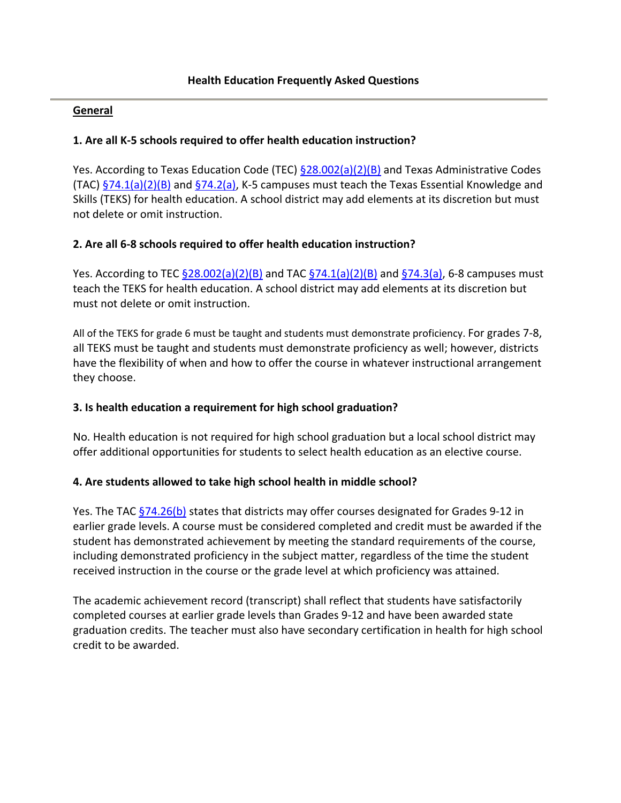#### **General**

#### **1. Are all K-5 schools required to offer health education instruction?**

Yes. According to Texas Education Code (TEC)  $\S 28.002(a)(2)(B)$  and Texas Administrative Codes (TAC)  $\S$ 74.1(a)(2)(B) and  $\S$ 74.2(a), K-5 campuses must teach the Texas Essential Knowledge and Skills (TEKS) for health education. A school district may add elements at its discretion but must not delete or omit instruction.

#### **2. Are all 6-8 schools required to offer health education instruction?**

Yes. According to TEC  $\frac{528.002(a)(2)(B)}{B}$  and TAC  $\frac{574.1(a)(2)(B)}{B}$  and  $\frac{574.3(a)}{B}$ , 6-8 campuses must teach the TEKS for health education. A school district may add elements at its discretion but must not delete or omit instruction.

All of the TEKS for grade 6 must be taught and students must demonstrate proficiency. For grades 7-8, all TEKS must be taught and students must demonstrate proficiency as well; however, districts have the flexibility of when and how to offer the course in whatever instructional arrangement they choose.

### **3. Is health education a requirement for high school graduation?**

No. Health education is not required for high school graduation but a local school district may offer additional opportunities for students to select health education as an elective course.

#### **4. Are students allowed to take high school health in middle school?**

Yes. The TAC  $\S$ 74.26(b) states that districts may offer courses designated for Grades 9-12 in earlier grade levels. A course must be considered completed and credit must be awarded if the student has demonstrated achievement by meeting the standard requirements of the course, including demonstrated proficiency in the subject matter, regardless of the time the student received instruction in the course or the grade level at which proficiency was attained.

The academic achievement record (transcript) shall reflect that students have satisfactorily completed courses at earlier grade levels than Grades 9-12 and have been awarded state graduation credits. The teacher must also have secondary certification in health for high school credit to be awarded.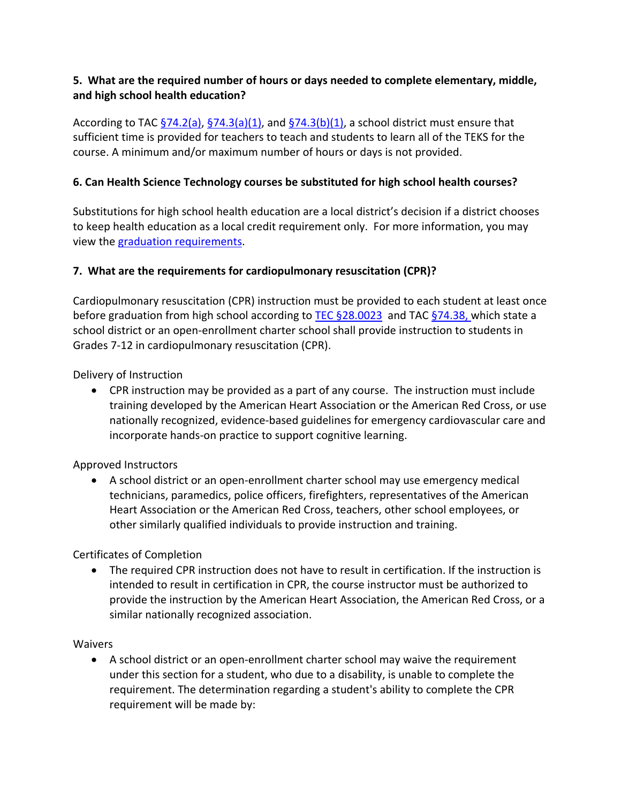# **5. What are the required number of hours or days needed to complete elementary, middle, and high school health education?**

According to TAC  $\S$ 74.2(a),  $\S$ 74.3(a)(1), and  $\S$ 74.3(b)(1), a school district must ensure that sufficient time is provided for teachers to teach and students to learn all of the TEKS for the course. A minimum and/or maximum number of hours or days is not provided.

# **6. Can Health Science Technology courses be substituted for high school health courses?**

Substitutions for high school health education are a local district's decision if a district chooses to keep health education as a local credit requirement only. For more information, you may view the [graduation requirements.](http://tea.texas.gov/index2.aspx?id=5324)

# **7. What are the requirements for cardiopulmonary resuscitation (CPR)?**

Cardiopulmonary resuscitation (CPR) instruction must be provided to each student at least once before graduation from high school according to TEC  $\S$ 28.0023 and TAC  $\S$ 74.38, which state a school district or an open-enrollment charter school shall provide instruction to students in Grades 7-12 in cardiopulmonary resuscitation (CPR).

Delivery of Instruction

 CPR instruction may be provided as a part of any course. The instruction must include training developed by the American Heart Association or the American Red Cross, or use nationally recognized, evidence-based guidelines for emergency cardiovascular care and incorporate hands-on practice to support cognitive learning.

## Approved Instructors

 A school district or an open-enrollment charter school may use emergency medical technicians, paramedics, police officers, firefighters, representatives of the American Heart Association or the American Red Cross, teachers, other school employees, or other similarly qualified individuals to provide instruction and training.

## Certificates of Completion

• The required CPR instruction does not have to result in certification. If the instruction is intended to result in certification in CPR, the course instructor must be authorized to provide the instruction by the American Heart Association, the American Red Cross, or a similar nationally recognized association.

## Waivers

 A school district or an open-enrollment charter school may waive the requirement under this section for a student, who due to a disability, is unable to complete the requirement. The determination regarding a student's ability to complete the CPR requirement will be made by: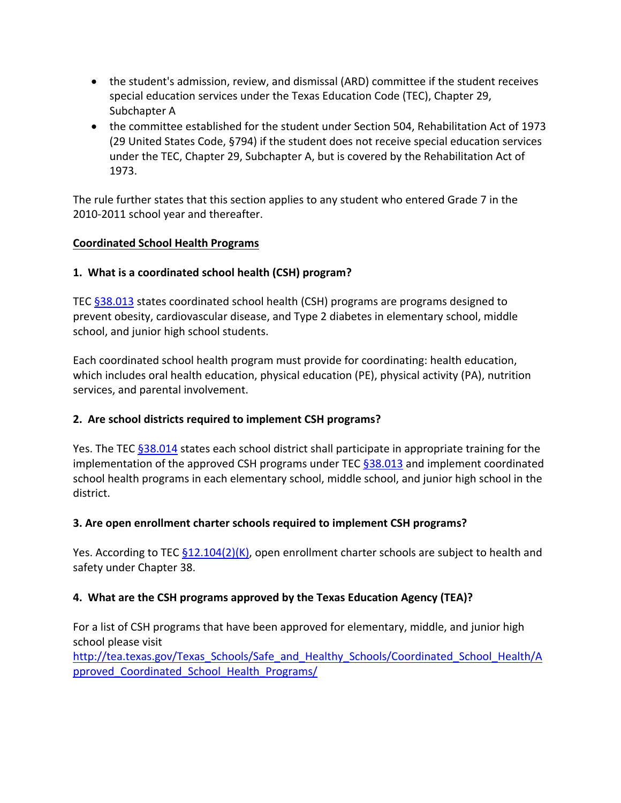- the student's admission, review, and dismissal (ARD) committee if the student receives special education services under the Texas Education Code (TEC), Chapter 29, Subchapter A
- the committee established for the student under Section 504, Rehabilitation Act of 1973 (29 United States Code, §794) if the student does not receive special education services under the TEC, Chapter 29, Subchapter A, but is covered by the Rehabilitation Act of 1973.

The rule further states that this section applies to any student who entered Grade 7 in the 2010-2011 school year and thereafter.

## **Coordinated School Health Programs**

# **1. What is a coordinated school health (CSH) program?**

TEC [§38.013](http://www.statutes.legis.state.tx.us/Docs/ED/htm/ED.38.htm#38.013) states coordinated school health (CSH) programs are programs designed to prevent obesity, cardiovascular disease, and Type 2 diabetes in elementary school, middle school, and junior high school students.

Each coordinated school health program must provide for coordinating: health education, which includes oral health education, physical education (PE), physical activity (PA), nutrition services, and parental involvement.

# **2. Are school districts required to implement CSH programs?**

Yes. The TEC [§38.014](http://www.statutes.legis.state.tx.us/Docs/ED/htm/ED.38.htm#38.014) states each school district shall participate in appropriate training for the implementation of the approved CSH programs under TEC  $\S 38.013$  and implement coordinated school health programs in each elementary school, middle school, and junior high school in the district.

# **3. Are open enrollment charter schools required to implement CSH programs?**

Yes. According to TEC  $\S$ 12.104(2)(K), open enrollment charter schools are subject to health and safety under Chapter 38.

# **4. What are the CSH programs approved by the Texas Education Agency (TEA)?**

For a list of CSH programs that have been approved for elementary, middle, and junior high school please visit

[http://tea.texas.gov/Texas\\_Schools/Safe\\_and\\_Healthy\\_Schools/Coordinated\\_School\\_Health/A](http://tea.texas.gov/Texas_Schools/Safe_and_Healthy_Schools/Coordinated_School_Health/Approved_Coordinated_School_Health_Programs/) [pproved\\_Coordinated\\_School\\_Health\\_Programs/](http://tea.texas.gov/Texas_Schools/Safe_and_Healthy_Schools/Coordinated_School_Health/Approved_Coordinated_School_Health_Programs/)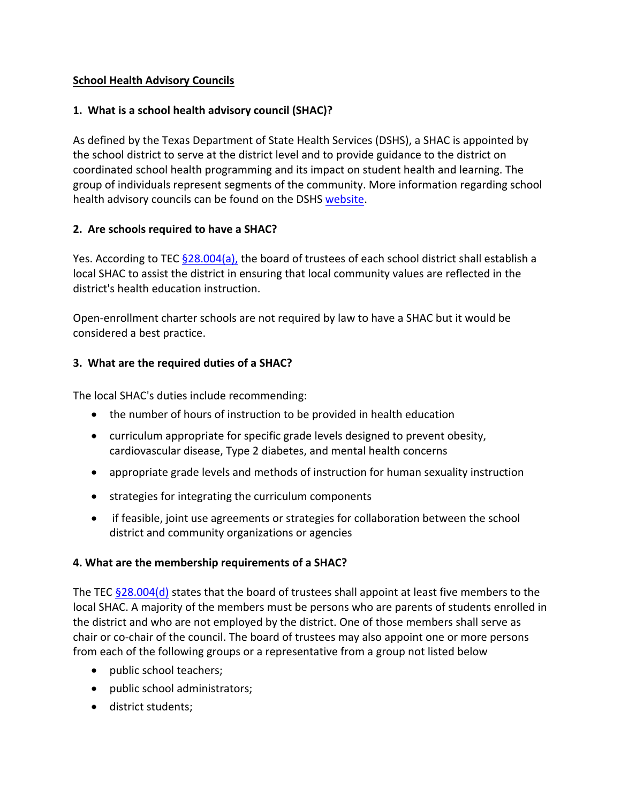## **School Health Advisory Councils**

## **1. What is a school health advisory council (SHAC)?**

As defined by the Texas Department of State Health Services (DSHS), a SHAC is appointed by the school district to serve at the district level and to provide guidance to the district on coordinated school health programming and its impact on student health and learning. The group of individuals represent segments of the community. More information regarding school health advisory councils can be found on the DSHS [website.](http://www.dshs.state.tx.us/schoolhealth/sdhac.shtm)

# **2. Are schools required to have a SHAC?**

Yes. According to TEC  $\S 28.004(a)$ , the board of trustees of each school district shall establish a local SHAC to assist the district in ensuring that local community values are reflected in the district's health education instruction.

Open-enrollment charter schools are not required by law to have a SHAC but it would be considered a best practice.

# **3. What are the required duties of a SHAC?**

The local SHAC's duties include recommending:

- the number of hours of instruction to be provided in health education
- curriculum appropriate for specific grade levels designed to prevent obesity, cardiovascular disease, Type 2 diabetes, and mental health concerns
- appropriate grade levels and methods of instruction for human sexuality instruction
- strategies for integrating the curriculum components
- if feasible, joint use agreements or strategies for collaboration between the school district and community organizations or agencies

## **4. What are the membership requirements of a SHAC?**

The TEC  $§28.004(d)$  states that the board of trustees shall appoint at least five members to the local SHAC. A majority of the members must be persons who are parents of students enrolled in the district and who are not employed by the district. One of those members shall serve as chair or co-chair of the council. The board of trustees may also appoint one or more persons from each of the following groups or a representative from a group not listed below

- public school teachers;
- public school administrators;
- **district students;**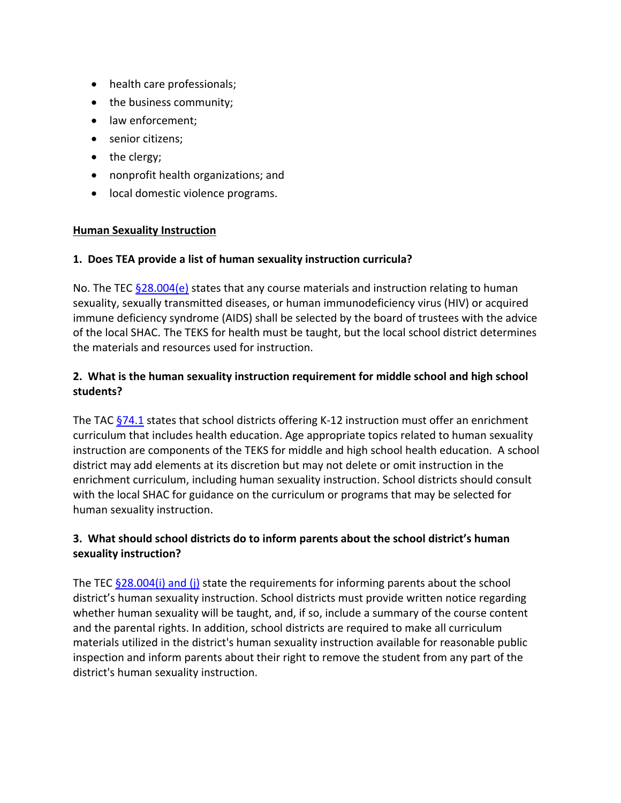- health care professionals;
- the business community;
- law enforcement;
- senior citizens;
- $\bullet$  the clergy;
- nonprofit health organizations; and
- local domestic violence programs.

#### **Human Sexuality Instruction**

#### **1. Does TEA provide a list of human sexuality instruction curricula?**

No. The TEC  $$28.004(e)$  states that any course materials and instruction relating to human sexuality, sexually transmitted diseases, or human immunodeficiency virus (HIV) or acquired immune deficiency syndrome (AIDS) shall be selected by the board of trustees with the advice of the local SHAC. The TEKS for health must be taught, but the local school district determines the materials and resources used for instruction.

# **2. What is the human sexuality instruction requirement for middle school and high school students?**

The TAC  $\S$ 74.1 states that school districts offering K-12 instruction must offer an enrichment curriculum that includes health education. Age appropriate topics related to human sexuality instruction are components of the TEKS for middle and high school health education. A school district may add elements at its discretion but may not delete or omit instruction in the enrichment curriculum, including human sexuality instruction. School districts should consult with the local SHAC for guidance on the curriculum or programs that may be selected for human sexuality instruction.

## **3. What should school districts do to inform parents about the school district's human sexuality instruction?**

The TEC  $§28.004(i)$  and (i) state the requirements for informing parents about the school district's human sexuality instruction. School districts must provide written notice regarding whether human sexuality will be taught, and, if so, include a summary of the course content and the parental rights. In addition, school districts are required to make all curriculum materials utilized in the district's human sexuality instruction available for reasonable public inspection and inform parents about their right to remove the student from any part of the district's human sexuality instruction.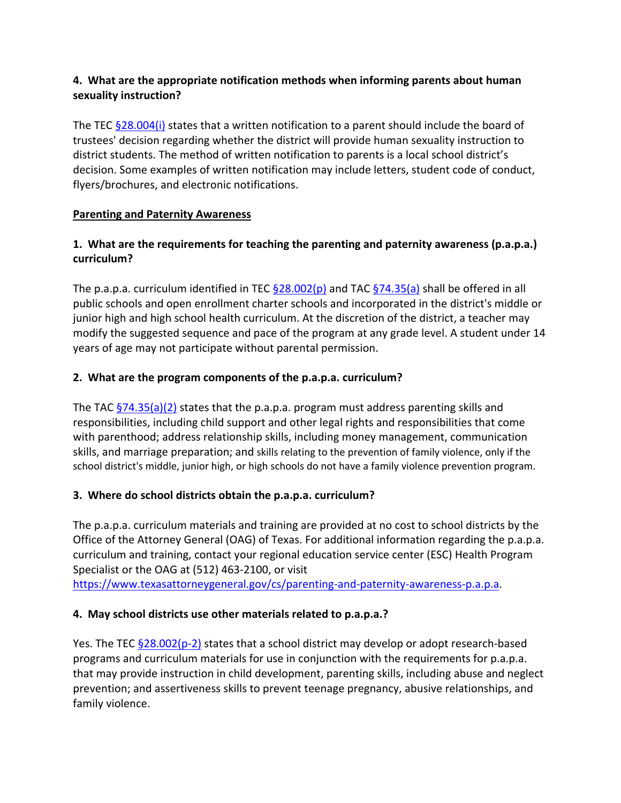# **4. What are the appropriate notification methods when informing parents about human sexuality instruction?**

The TEC [§28.004\(i\)](http://www.statutes.legis.state.tx.us/Docs/ED/htm/ED.28.htm#28.004) states that a written notification to a parent should include the board of trustees' decision regarding whether the district will provide human sexuality instruction to district students. The method of written notification to parents is a local school district's decision. Some examples of written notification may include letters, student code of conduct, flyers/brochures, and electronic notifications.

# **Parenting and Paternity Awareness**

# **1. What are the requirements for teaching the parenting and paternity awareness (p.a.p.a.) curriculum?**

The p.a.p.a. curriculum identified in TEC  $\S$ 28.002(p) and TAC  $\S$ 74.35(a) shall be offered in all public schools and open enrollment charter schools and incorporated in the district's middle or junior high and high school health curriculum. At the discretion of the district, a teacher may modify the suggested sequence and pace of the program at any grade level. A student under 14 years of age may not participate without parental permission.

# **2. What are the program components of the p.a.p.a. curriculum?**

The TAC  $\S$ 74.35(a)(2) states that the p.a.p.a. program must address parenting skills and responsibilities, including child support and other legal rights and responsibilities that come with parenthood; address relationship skills, including money management, communication skills, and marriage preparation; and skills relating to the prevention of family violence, only if the school district's middle, junior high, or high schools do not have a family violence prevention program.

## **3. Where do school districts obtain the p.a.p.a. curriculum?**

The p.a.p.a. curriculum materials and training are provided at no cost to school districts by the Office of the Attorney General (OAG) of Texas. For additional information regarding the p.a.p.a. curriculum and training, contact your regional education service center (ESC) Health Program Specialist or the OAG at (512) 463-2100, or visit [https://www.texasattorneygeneral.gov/cs/parenting-and-paternity-awareness-p.a.p.a.](https://www.texasattorneygeneral.gov/cs/parenting-and-paternity-awareness-p.a.p.a)

## **4. May school districts use other materials related to p.a.p.a.?**

Yes. The TEC  $\S 28.002(p-2)$  states that a school district may develop or adopt research-based programs and curriculum materials for use in conjunction with the requirements for p.a.p.a. that may provide instruction in child development, parenting skills, including abuse and neglect prevention; and assertiveness skills to prevent teenage pregnancy, abusive relationships, and family violence.